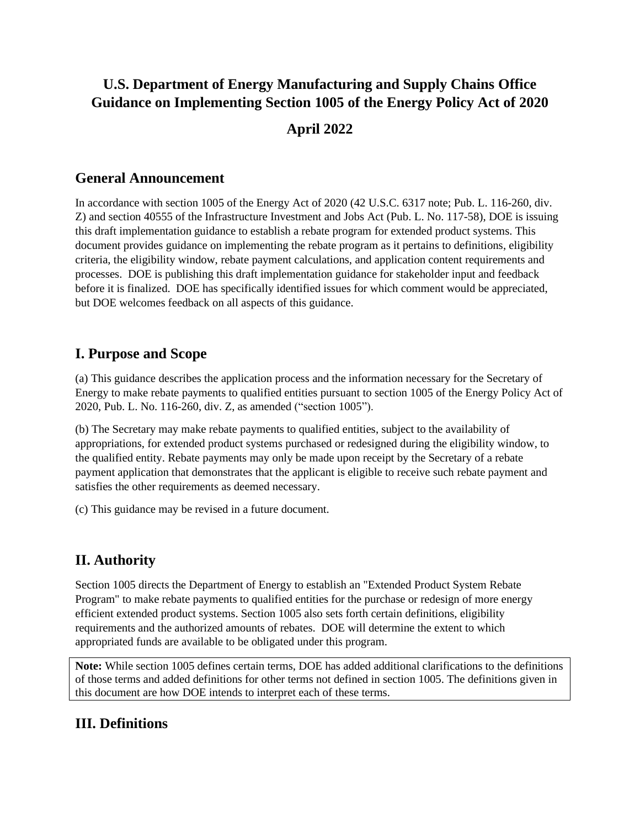# **U.S. Department of Energy Manufacturing and Supply Chains Office Guidance on Implementing Section 1005 of the Energy Policy Act of 2020 April 2022**

### **General Announcement**

In accordance with section 1005 of the Energy Act of 2020 (42 U.S.C. 6317 note; Pub. L. 116-260, div. Z) and section 40555 of the Infrastructure Investment and Jobs Act (Pub. L. No. 117-58), DOE is issuing this draft implementation guidance to establish a rebate program for extended product systems. This document provides guidance on implementing the rebate program as it pertains to definitions, eligibility criteria, the eligibility window, rebate payment calculations, and application content requirements and processes. DOE is publishing this draft implementation guidance for stakeholder input and feedback before it is finalized. DOE has specifically identified issues for which comment would be appreciated, but DOE welcomes feedback on all aspects of this guidance.

### **I. Purpose and Scope**

(a) This guidance describes the application process and the information necessary for the Secretary of Energy to make rebate payments to qualified entities pursuant to section 1005 of the Energy Policy Act of 2020, Pub. L. No. 116-260, div. Z, as amended ("section 1005").

(b) The Secretary may make rebate payments to qualified entities, subject to the availability of appropriations, for extended product systems purchased or redesigned during the eligibility window, to the qualified entity. Rebate payments may only be made upon receipt by the Secretary of a rebate payment application that demonstrates that the applicant is eligible to receive such rebate payment and satisfies the other requirements as deemed necessary.

(c) This guidance may be revised in a future document.

### **II. Authority**

Section 1005 directs the Department of Energy to establish an "Extended Product System Rebate Program" to make rebate payments to qualified entities for the purchase or redesign of more energy efficient extended product systems. Section 1005 also sets forth certain definitions, eligibility requirements and the authorized amounts of rebates. DOE will determine the extent to which appropriated funds are available to be obligated under this program.

**Note:** While section 1005 defines certain terms, DOE has added additional clarifications to the definitions of those terms and added definitions for other terms not defined in section 1005. The definitions given in this document are how DOE intends to interpret each of these terms.

### **III. Definitions**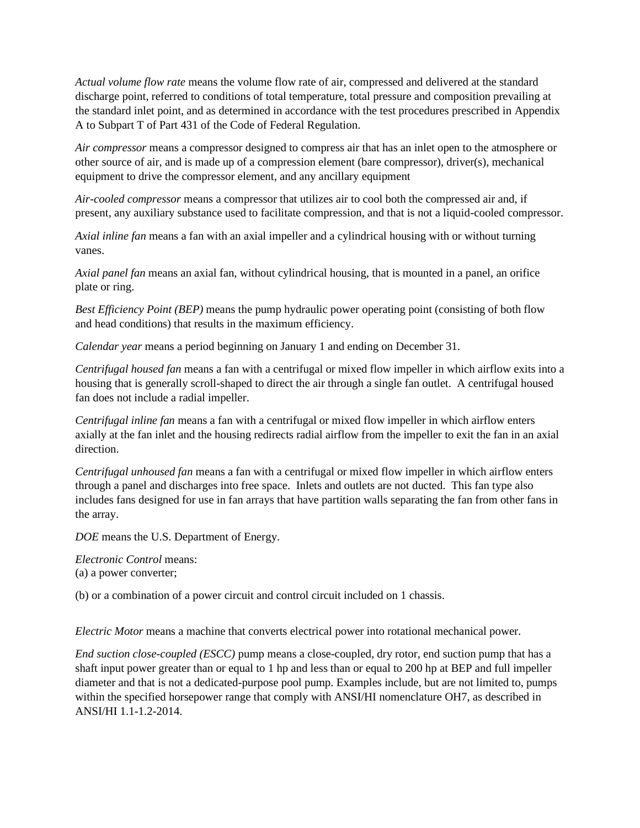*Actual volume flow rate* means the volume flow rate of air, compressed and delivered at the standard discharge point, referred to conditions of total temperature, total pressure and composition prevailing at the standard inlet point, and as determined in accordance with the test procedures prescribed in Appendix A to Subpart T of Part 431 of the Code of Federal Regulation.

*Air compressor* means a compressor designed to compress air that has an inlet open to the atmosphere or other source of air, and is made up of a compression element (bare compressor), driver(s), mechanical equipment to drive the compressor element, and any ancillary equipment

*Air-cooled compressor* means a compressor that utilizes air to cool both the compressed air and, if present, any auxiliary substance used to facilitate compression, and that is not a liquid-cooled compressor.

*Axial inline fan* means a fan with an axial impeller and a cylindrical housing with or without turning vanes.

*Axial panel fan* means an axial fan, without cylindrical housing, that is mounted in a panel, an orifice plate or ring.

*Best Efficiency Point (BEP)* means the pump hydraulic power operating point (consisting of both flow and head conditions) that results in the maximum efficiency.

*Calendar year* means a period beginning on January 1 and ending on December 31.

*Centrifugal housed fan* means a fan with a centrifugal or mixed flow impeller in which airflow exits into a housing that is generally scroll-shaped to direct the air through a single fan outlet. A centrifugal housed fan does not include a radial impeller.

*Centrifugal inline fan* means a fan with a centrifugal or mixed flow impeller in which airflow enters axially at the fan inlet and the housing redirects radial airflow from the impeller to exit the fan in an axial direction.

*Centrifugal unhoused fan* means a fan with a centrifugal or mixed flow impeller in which airflow enters through a panel and discharges into free space. Inlets and outlets are not ducted. This fan type also includes fans designed for use in fan arrays that have partition walls separating the fan from other fans in the array.

*DOE* means the U.S. Department of Energy.

*Electronic Control* means: (a) a power converter;

(b) or a combination of a power circuit and control circuit included on 1 chassis.

*Electric Motor* means a machine that converts electrical power into rotational mechanical power.

*End suction close-coupled (ESCC)* pump means a close-coupled, dry rotor, end suction pump that has a shaft input power greater than or equal to 1 hp and less than or equal to 200 hp at BEP and full impeller diameter and that is not a dedicated-purpose pool pump. Examples include, but are not limited to, pumps within the specified horsepower range that comply with ANSI/HI nomenclature OH7, as described in ANSI/HI 1.1-1.2-2014.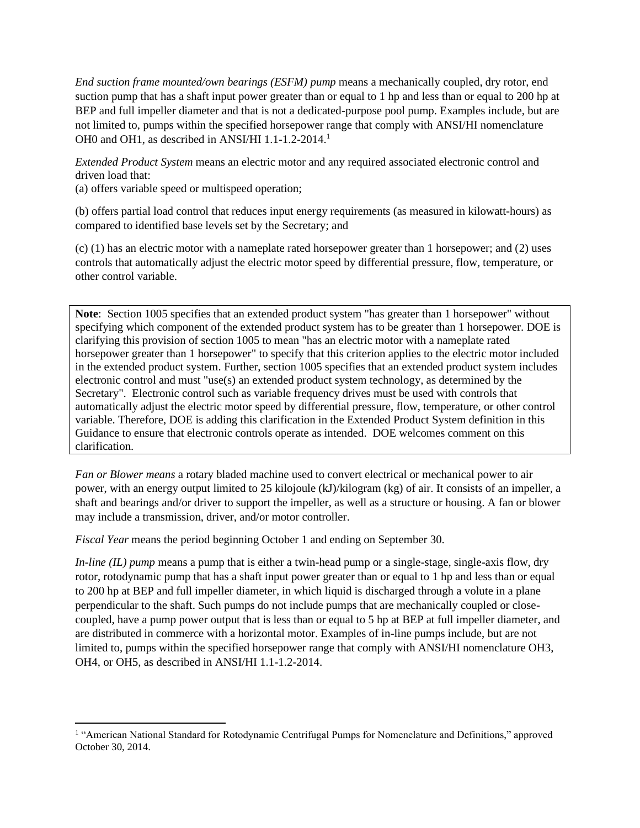*End suction frame mounted/own bearings (ESFM) pump* means a mechanically coupled, dry rotor, end suction pump that has a shaft input power greater than or equal to 1 hp and less than or equal to 200 hp at BEP and full impeller diameter and that is not a dedicated-purpose pool pump. Examples include, but are not limited to, pumps within the specified horsepower range that comply with ANSI/HI nomenclature OH0 and OH1, as described in ANSI/HI 1.1-1.2-2014.<sup>1</sup>

*Extended Product System* means an electric motor and any required associated electronic control and driven load that:

(a) offers variable speed or multispeed operation;

(b) offers partial load control that reduces input energy requirements (as measured in kilowatt-hours) as compared to identified base levels set by the Secretary; and

(c) (1) has an electric motor with a nameplate rated horsepower greater than 1 horsepower; and (2) uses controls that automatically adjust the electric motor speed by differential pressure, flow, temperature, or other control variable.

**Note**: Section 1005 specifies that an extended product system "has greater than 1 horsepower" without specifying which component of the extended product system has to be greater than 1 horsepower. DOE is clarifying this provision of section 1005 to mean "has an electric motor with a nameplate rated horsepower greater than 1 horsepower" to specify that this criterion applies to the electric motor included in the extended product system. Further, section 1005 specifies that an extended product system includes electronic control and must "use(s) an extended product system technology, as determined by the Secretary". Electronic control such as variable frequency drives must be used with controls that automatically adjust the electric motor speed by differential pressure, flow, temperature, or other control variable. Therefore, DOE is adding this clarification in the Extended Product System definition in this Guidance to ensure that electronic controls operate as intended. DOE welcomes comment on this clarification.

*Fan or Blower means* a rotary bladed machine used to convert electrical or mechanical power to air power, with an energy output limited to 25 kilojoule (kJ)/kilogram (kg) of air. It consists of an impeller, a shaft and bearings and/or driver to support the impeller, as well as a structure or housing. A fan or blower may include a transmission, driver, and/or motor controller.

*Fiscal Year* means the period beginning October 1 and ending on September 30.

*In-line (IL) pump* means a pump that is either a twin-head pump or a single-stage, single-axis flow, dry rotor, rotodynamic pump that has a shaft input power greater than or equal to 1 hp and less than or equal to 200 hp at BEP and full impeller diameter, in which liquid is discharged through a volute in a plane perpendicular to the shaft. Such pumps do not include pumps that are mechanically coupled or closecoupled, have a pump power output that is less than or equal to 5 hp at BEP at full impeller diameter, and are distributed in commerce with a horizontal motor. Examples of in-line pumps include, but are not limited to, pumps within the specified horsepower range that comply with ANSI/HI nomenclature OH3, OH4, or OH5, as described in ANSI/HI 1.1-1.2-2014.

<sup>&</sup>lt;sup>1</sup> "American National Standard for Rotodynamic Centrifugal Pumps for Nomenclature and Definitions," approved October 30, 2014.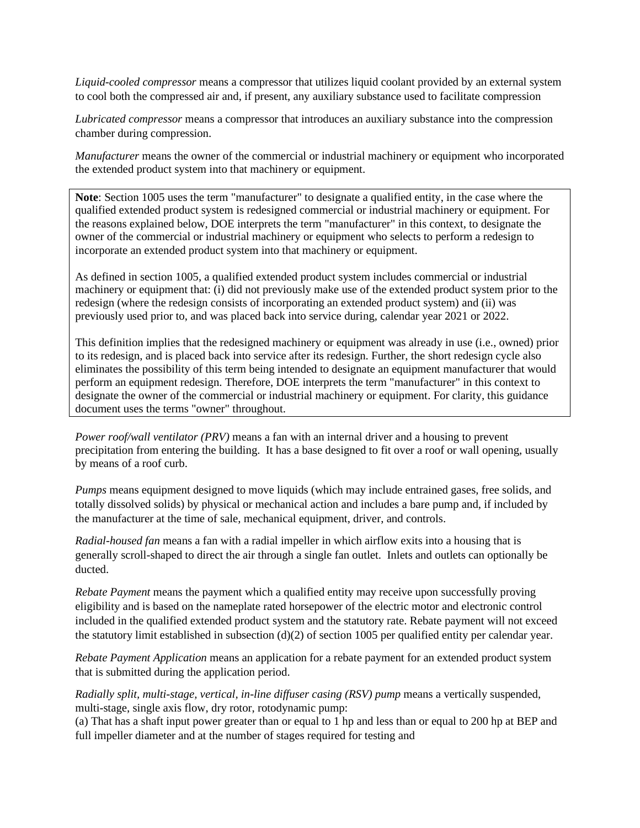*Liquid-cooled compressor* means a compressor that utilizes liquid coolant provided by an external system to cool both the compressed air and, if present, any auxiliary substance used to facilitate compression

*Lubricated compressor* means a compressor that introduces an auxiliary substance into the compression chamber during compression.

*Manufacturer* means the owner of the commercial or industrial machinery or equipment who incorporated the extended product system into that machinery or equipment.

**Note**: Section 1005 uses the term "manufacturer" to designate a qualified entity, in the case where the qualified extended product system is redesigned commercial or industrial machinery or equipment. For the reasons explained below, DOE interprets the term "manufacturer" in this context, to designate the owner of the commercial or industrial machinery or equipment who selects to perform a redesign to incorporate an extended product system into that machinery or equipment.

As defined in section 1005, a qualified extended product system includes commercial or industrial machinery or equipment that: (i) did not previously make use of the extended product system prior to the redesign (where the redesign consists of incorporating an extended product system) and (ii) was previously used prior to, and was placed back into service during, calendar year 2021 or 2022.

This definition implies that the redesigned machinery or equipment was already in use (i.e., owned) prior to its redesign, and is placed back into service after its redesign. Further, the short redesign cycle also eliminates the possibility of this term being intended to designate an equipment manufacturer that would perform an equipment redesign. Therefore, DOE interprets the term "manufacturer" in this context to designate the owner of the commercial or industrial machinery or equipment. For clarity, this guidance document uses the terms "owner" throughout.

*Power roof/wall ventilator (PRV)* means a fan with an internal driver and a housing to prevent precipitation from entering the building. It has a base designed to fit over a roof or wall opening, usually by means of a roof curb.

*Pumps* means equipment designed to move liquids (which may include entrained gases, free solids, and totally dissolved solids) by physical or mechanical action and includes a bare pump and, if included by the manufacturer at the time of sale, mechanical equipment, driver, and controls.

*Radial-housed fan* means a fan with a radial impeller in which airflow exits into a housing that is generally scroll-shaped to direct the air through a single fan outlet. Inlets and outlets can optionally be ducted.

*Rebate Payment* means the payment which a qualified entity may receive upon successfully proving eligibility and is based on the nameplate rated horsepower of the electric motor and electronic control included in the qualified extended product system and the statutory rate. Rebate payment will not exceed the statutory limit established in subsection (d)(2) of section 1005 per qualified entity per calendar year.

*Rebate Payment Application* means an application for a rebate payment for an extended product system that is submitted during the application period.

*Radially split, multi-stage, vertical, in-line diffuser casing (RSV) pump means a vertically suspended,* multi-stage, single axis flow, dry rotor, rotodynamic pump:

(a) That has a shaft input power greater than or equal to 1 hp and less than or equal to 200 hp at BEP and full impeller diameter and at the number of stages required for testing and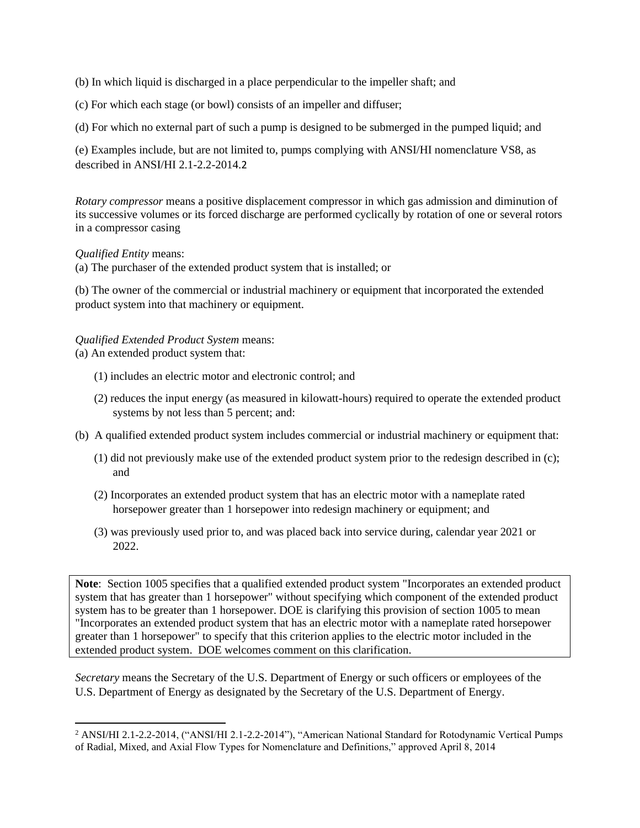(b) In which liquid is discharged in a place perpendicular to the impeller shaft; and

(c) For which each stage (or bowl) consists of an impeller and diffuser;

(d) For which no external part of such a pump is designed to be submerged in the pumped liquid; and

(e) Examples include, but are not limited to, pumps complying with ANSI/HI nomenclature VS8, as described in ANSI/HI 2.1-2.2-2014.2

*Rotary compressor* means a positive displacement compressor in which gas admission and diminution of its successive volumes or its forced discharge are performed cyclically by rotation of one or several rotors in a compressor casing

#### *Qualified Entity* means:

(a) The purchaser of the extended product system that is installed; or

(b) The owner of the commercial or industrial machinery or equipment that incorporated the extended product system into that machinery or equipment.

### *Qualified Extended Product System* means:

(a) An extended product system that:

- (1) includes an electric motor and electronic control; and
- (2) reduces the input energy (as measured in kilowatt-hours) required to operate the extended product systems by not less than 5 percent; and:
- (b) A qualified extended product system includes commercial or industrial machinery or equipment that:
	- (1) did not previously make use of the extended product system prior to the redesign described in (c); and
	- (2) Incorporates an extended product system that has an electric motor with a nameplate rated horsepower greater than 1 horsepower into redesign machinery or equipment; and
	- (3) was previously used prior to, and was placed back into service during, calendar year 2021 or 2022.

**Note**: Section 1005 specifies that a qualified extended product system "Incorporates an extended product system that has greater than 1 horsepower" without specifying which component of the extended product system has to be greater than 1 horsepower. DOE is clarifying this provision of section 1005 to mean "Incorporates an extended product system that has an electric motor with a nameplate rated horsepower greater than 1 horsepower" to specify that this criterion applies to the electric motor included in the extended product system. DOE welcomes comment on this clarification.

*Secretary* means the Secretary of the U.S. Department of Energy or such officers or employees of the U.S. Department of Energy as designated by the Secretary of the U.S. Department of Energy.

<sup>&</sup>lt;sup>2</sup> ANSI/HI 2.1-2.2-2014, ("ANSI/HI 2.1-2.2-2014"), "American National Standard for Rotodynamic Vertical Pumps of Radial, Mixed, and Axial Flow Types for Nomenclature and Definitions," approved April 8, 2014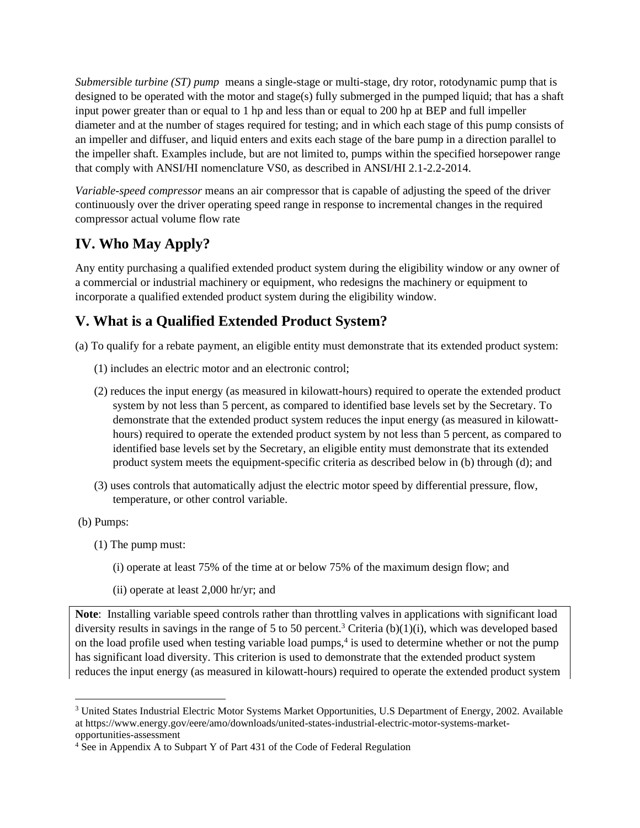*Submersible turbine (ST) pump* means a single-stage or multi-stage, dry rotor, rotodynamic pump that is designed to be operated with the motor and stage(s) fully submerged in the pumped liquid; that has a shaft input power greater than or equal to 1 hp and less than or equal to 200 hp at BEP and full impeller diameter and at the number of stages required for testing; and in which each stage of this pump consists of an impeller and diffuser, and liquid enters and exits each stage of the bare pump in a direction parallel to the impeller shaft. Examples include, but are not limited to, pumps within the specified horsepower range that comply with ANSI/HI nomenclature VS0, as described in ANSI/HI 2.1-2.2-2014.

*Variable-speed compressor* means an air compressor that is capable of adjusting the speed of the driver continuously over the driver operating speed range in response to incremental changes in the required compressor actual volume flow rate

# **IV. Who May Apply?**

Any entity purchasing a qualified extended product system during the eligibility window or any owner of a commercial or industrial machinery or equipment, who redesigns the machinery or equipment to incorporate a qualified extended product system during the eligibility window.

## **V. What is a Qualified Extended Product System?**

(a) To qualify for a rebate payment, an eligible entity must demonstrate that its extended product system:

- (1) includes an electric motor and an electronic control;
- (2) reduces the input energy (as measured in kilowatt-hours) required to operate the extended product system by not less than 5 percent, as compared to identified base levels set by the Secretary. To demonstrate that the extended product system reduces the input energy (as measured in kilowatthours) required to operate the extended product system by not less than 5 percent, as compared to identified base levels set by the Secretary, an eligible entity must demonstrate that its extended product system meets the equipment-specific criteria as described below in (b) through (d); and
- (3) uses controls that automatically adjust the electric motor speed by differential pressure, flow, temperature, or other control variable.
- (b) Pumps:
	- (1) The pump must:
		- (i) operate at least 75% of the time at or below 75% of the maximum design flow; and
		- (ii) operate at least 2,000 hr/yr; and

**Note**: Installing variable speed controls rather than throttling valves in applications with significant load diversity results in savings in the range of 5 to 50 percent.<sup>3</sup> Criteria (b)(1)(i), which was developed based on the load profile used when testing variable load pumps,<sup>4</sup> is used to determine whether or not the pump has significant load diversity. This criterion is used to demonstrate that the extended product system reduces the input energy (as measured in kilowatt-hours) required to operate the extended product system

<sup>3</sup> United States Industrial Electric Motor Systems Market Opportunities, U.S Department of Energy, 2002. Available at https://www.energy.gov/eere/amo/downloads/united-states-industrial-electric-motor-systems-marketopportunities-assessment

<sup>4</sup> See in Appendix A to Subpart Y of Part 431 of the Code of Federal Regulation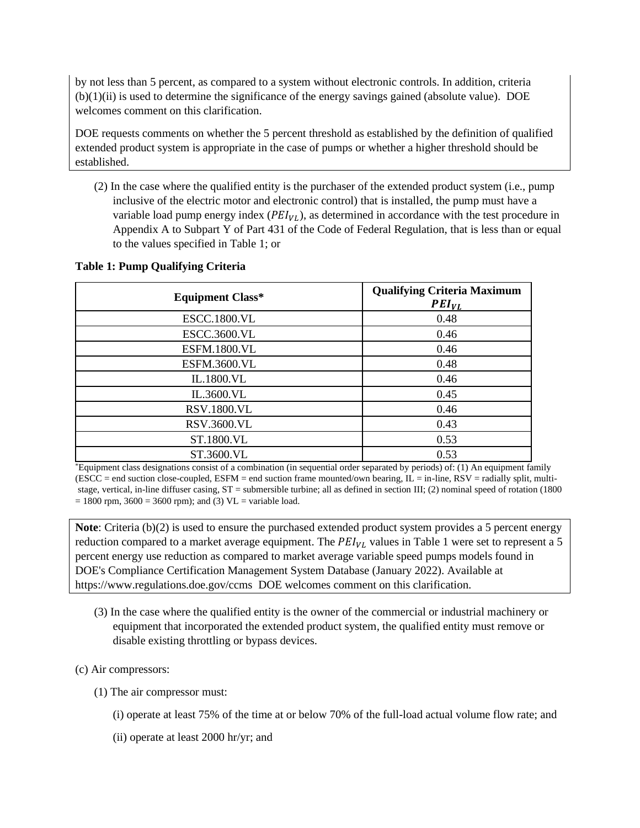by not less than 5 percent, as compared to a system without electronic controls. In addition, criteria (b)(1)(ii) is used to determine the significance of the energy savings gained (absolute value). DOE welcomes comment on this clarification.

DOE requests comments on whether the 5 percent threshold as established by the definition of qualified extended product system is appropriate in the case of pumps or whether a higher threshold should be established.

(2) In the case where the qualified entity is the purchaser of the extended product system (i.e., pump inclusive of the electric motor and electronic control) that is installed, the pump must have a variable load pump energy index  $(PEI_{VL})$ , as determined in accordance with the test procedure in Appendix A to Subpart Y of Part 431 of the Code of Federal Regulation, that is less than or equal to the values specified in Table 1; or

#### **Table 1: Pump Qualifying Criteria**

| <b>Equipment Class*</b> | <b>Qualifying Criteria Maximum</b><br>$PEI_{VL}$ |
|-------------------------|--------------------------------------------------|
| <b>ESCC.1800.VL</b>     | 0.48                                             |
| <b>ESCC.3600.VL</b>     | 0.46                                             |
| <b>ESFM.1800.VL</b>     | 0.46                                             |
| <b>ESFM.3600.VL</b>     | 0.48                                             |
| IL.1800.VL              | 0.46                                             |
| IL.3600.VL              | 0.45                                             |
| <b>RSV.1800.VL</b>      | 0.46                                             |
| RSV.3600.VL             | 0.43                                             |
| ST.1800.VL              | 0.53                                             |
| ST.3600.VL              | 0.53                                             |

\*Equipment class designations consist of a combination (in sequential order separated by periods) of: (1) An equipment family  $(ESCC = end$  suction close-coupled,  $ESFM = end$  suction frame mounted/own bearing,  $IL = in-line$ ,  $RSV = radially$  split, multistage, vertical, in-line diffuser casing, ST = submersible turbine; all as defined in section III; (2) nominal speed of rotation (1800  $= 1800$  rpm,  $3600 = 3600$  rpm); and (3) VL = variable load.

**Note**: Criteria (b)(2) is used to ensure the purchased extended product system provides a 5 percent energy reduction compared to a market average equipment. The  $PEI_{VL}$  values in Table 1 were set to represent a 5 percent energy use reduction as compared to market average variable speed pumps models found in DOE's Compliance Certification Management System Database (January 2022). Available at https://www.regulations.doe.gov/ccms DOE welcomes comment on this clarification.

(3) In the case where the qualified entity is the owner of the commercial or industrial machinery or equipment that incorporated the extended product system, the qualified entity must remove or disable existing throttling or bypass devices.

#### (c) Air compressors:

- (1) The air compressor must:
	- (i) operate at least 75% of the time at or below 70% of the full-load actual volume flow rate; and
	- (ii) operate at least 2000 hr/yr; and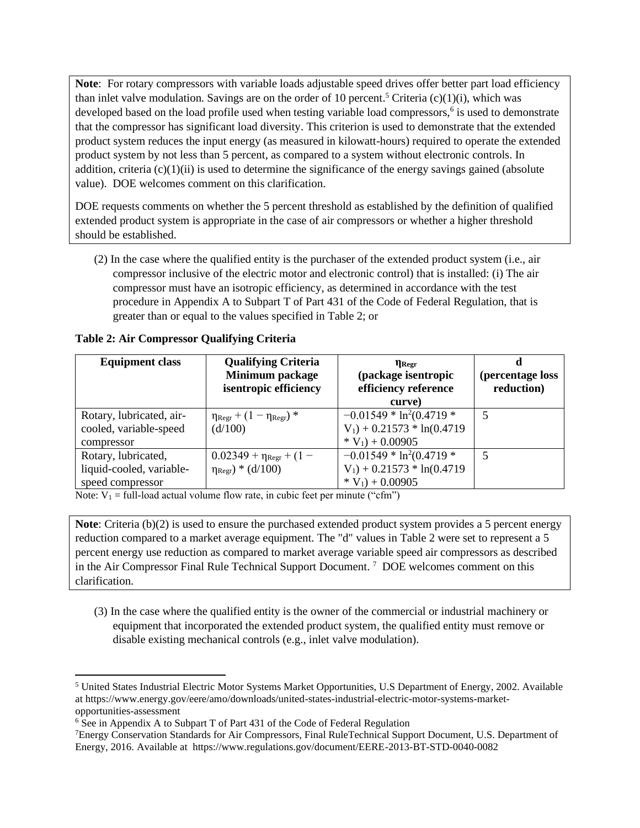**Note**: For rotary compressors with variable loads adjustable speed drives offer better part load efficiency than inlet valve modulation. Savings are on the order of 10 percent.<sup>5</sup> Criteria (c)(1)(i), which was developed based on the load profile used when testing variable load compressors,<sup>6</sup> is used to demonstrate that the compressor has significant load diversity. This criterion is used to demonstrate that the extended product system reduces the input energy (as measured in kilowatt-hours) required to operate the extended product system by not less than 5 percent, as compared to a system without electronic controls. In addition, criteria  $(c)(1)(ii)$  is used to determine the significance of the energy savings gained (absolute value). DOE welcomes comment on this clarification.

DOE requests comments on whether the 5 percent threshold as established by the definition of qualified extended product system is appropriate in the case of air compressors or whether a higher threshold should be established.

(2) In the case where the qualified entity is the purchaser of the extended product system (i.e., air compressor inclusive of the electric motor and electronic control) that is installed: (i) The air compressor must have an isotropic efficiency, as determined in accordance with the test procedure in Appendix A to Subpart T of Part 431 of the Code of Federal Regulation, that is greater than or equal to the values specified in Table 2; or

| <b>Equipment class</b>                                              | <b>Qualifying Criteria</b><br>Minimum package<br>isentropic efficiency    | $\eta_{\rm Regr}$<br>(package isentropic<br>efficiency reference<br>curve)     | (percentage loss<br>reduction) |
|---------------------------------------------------------------------|---------------------------------------------------------------------------|--------------------------------------------------------------------------------|--------------------------------|
| Rotary, lubricated, air-<br>cooled, variable-speed<br>compressor    | $\eta_{\text{Regr}} + (1 - \eta_{\text{Regr}})^*$<br>(d/100)              | $-0.01549 * ln2(0.4719 *$<br>$V_1$ ) + 0.21573 * ln(0.4719<br>$*V_1$ + 0.00905 | 5                              |
| Rotary, lubricated,<br>liquid-cooled, variable-<br>speed compressor | $0.02349 + \eta_{\text{Regr}} + (1 -$<br>$\eta_{\text{Regr}}$ ) * (d/100) | $-0.01549 * ln2(0.4719 *$<br>$V_1$ ) + 0.21573 * ln(0.4719<br>$*V_1$ + 0.00905 | 5                              |

**Table 2: Air Compressor Qualifying Criteria** 

Note:  $V_1$  = full-load actual volume flow rate, in cubic feet per minute ("cfm")

**Note**: Criteria (b)(2) is used to ensure the purchased extended product system provides a 5 percent energy reduction compared to a market average equipment. The "d" values in Table 2 were set to represent a 5 percent energy use reduction as compared to market average variable speed air compressors as described in the Air Compressor Final Rule Technical Support Document.<sup>7</sup> DOE welcomes comment on this clarification.

(3) In the case where the qualified entity is the owner of the commercial or industrial machinery or equipment that incorporated the extended product system, the qualified entity must remove or disable existing mechanical controls (e.g., inlet valve modulation).

<sup>5</sup> United States Industrial Electric Motor Systems Market Opportunities, U.S Department of Energy, 2002. Available at https://www.energy.gov/eere/amo/downloads/united-states-industrial-electric-motor-systems-marketopportunities-assessment

<sup>6</sup> See in Appendix A to Subpart T of Part 431 of the Code of Federal Regulation

<sup>7</sup>Energy Conservation Standards for Air Compressors, Final RuleTechnical Support Document, U.S. Department of Energy, 2016. Available at https://www.regulations.gov/document/EERE-2013-BT-STD-0040-0082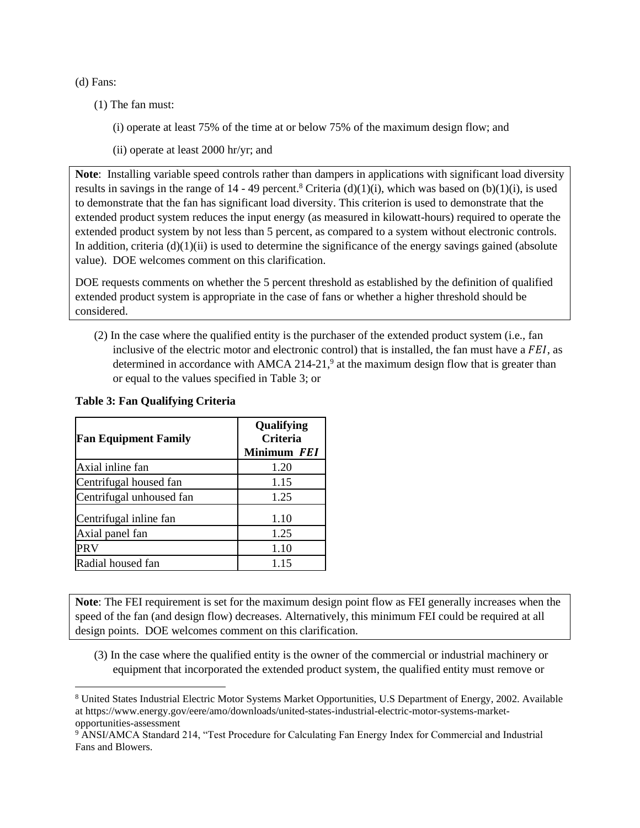(d) Fans:

- (1) The fan must:
	- (i) operate at least 75% of the time at or below 75% of the maximum design flow; and
	- (ii) operate at least 2000 hr/yr; and

**Note**: Installing variable speed controls rather than dampers in applications with significant load diversity results in savings in the range of 14 - 49 percent.<sup>8</sup> Criteria (d)(1)(i), which was based on (b)(1)(i), is used to demonstrate that the fan has significant load diversity. This criterion is used to demonstrate that the extended product system reduces the input energy (as measured in kilowatt-hours) required to operate the extended product system by not less than 5 percent, as compared to a system without electronic controls. In addition, criteria  $(d)(1)(ii)$  is used to determine the significance of the energy savings gained (absolute value). DOE welcomes comment on this clarification.

DOE requests comments on whether the 5 percent threshold as established by the definition of qualified extended product system is appropriate in the case of fans or whether a higher threshold should be considered.

(2) In the case where the qualified entity is the purchaser of the extended product system (i.e., fan inclusive of the electric motor and electronic control) that is installed, the fan must have a  $FEI$ , as determined in accordance with AMCA 214-21, $9$  at the maximum design flow that is greater than or equal to the values specified in Table 3; or

| <b>Fan Equipment Family</b> | Qualifying<br><b>Criteria</b> |  |
|-----------------------------|-------------------------------|--|
|                             | Minimum FEI                   |  |
| Axial inline fan            | 1.20                          |  |
| Centrifugal housed fan      | 1.15                          |  |
| Centrifugal unhoused fan    | 1.25                          |  |
| Centrifugal inline fan      | 1.10                          |  |
| Axial panel fan             | 1.25                          |  |
| <b>PRV</b>                  | 1.10                          |  |
| Radial housed fan           | 1.15                          |  |

#### **Table 3: Fan Qualifying Criteria**

**Note**: The FEI requirement is set for the maximum design point flow as FEI generally increases when the speed of the fan (and design flow) decreases. Alternatively, this minimum FEI could be required at all design points. DOE welcomes comment on this clarification.

(3) In the case where the qualified entity is the owner of the commercial or industrial machinery or equipment that incorporated the extended product system, the qualified entity must remove or

<sup>8</sup> United States Industrial Electric Motor Systems Market Opportunities, U.S Department of Energy, 2002. Available at https://www.energy.gov/eere/amo/downloads/united-states-industrial-electric-motor-systems-marketopportunities-assessment

<sup>9</sup> ANSI/AMCA Standard 214, "Test Procedure for Calculating Fan Energy Index for Commercial and Industrial Fans and Blowers.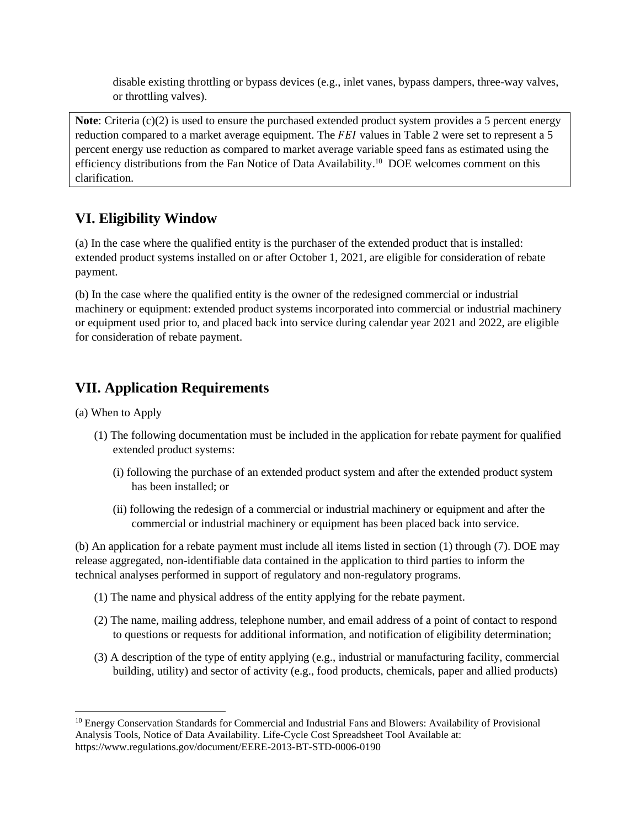disable existing throttling or bypass devices (e.g., inlet vanes, bypass dampers, three-way valves, or throttling valves).

**Note**: Criteria (c)(2) is used to ensure the purchased extended product system provides a 5 percent energy reduction compared to a market average equipment. The  $F E I$  values in Table 2 were set to represent a 5 percent energy use reduction as compared to market average variable speed fans as estimated using the efficiency distributions from the Fan Notice of Data Availability.<sup>10</sup> DOE welcomes comment on this clarification.

### **VI. Eligibility Window**

(a) In the case where the qualified entity is the purchaser of the extended product that is installed: extended product systems installed on or after October 1, 2021, are eligible for consideration of rebate payment.

(b) In the case where the qualified entity is the owner of the redesigned commercial or industrial machinery or equipment: extended product systems incorporated into commercial or industrial machinery or equipment used prior to, and placed back into service during calendar year 2021 and 2022, are eligible for consideration of rebate payment.

### **VII. Application Requirements**

(a) When to Apply

- (1) The following documentation must be included in the application for rebate payment for qualified extended product systems:
	- (i) following the purchase of an extended product system and after the extended product system has been installed; or
	- (ii) following the redesign of a commercial or industrial machinery or equipment and after the commercial or industrial machinery or equipment has been placed back into service.

(b) An application for a rebate payment must include all items listed in section (1) through (7). DOE may release aggregated, non-identifiable data contained in the application to third parties to inform the technical analyses performed in support of regulatory and non-regulatory programs.

- (1) The name and physical address of the entity applying for the rebate payment.
- (2) The name, mailing address, telephone number, and email address of a point of contact to respond to questions or requests for additional information, and notification of eligibility determination;
- (3) A description of the type of entity applying (e.g., industrial or manufacturing facility, commercial building, utility) and sector of activity (e.g., food products, chemicals, paper and allied products)

<sup>&</sup>lt;sup>10</sup> Energy Conservation Standards for Commercial and Industrial Fans and Blowers: Availability of Provisional Analysis Tools, Notice of Data Availability. Life-Cycle Cost Spreadsheet Tool Available at: https://www.regulations.gov/document/EERE-2013-BT-STD-0006-0190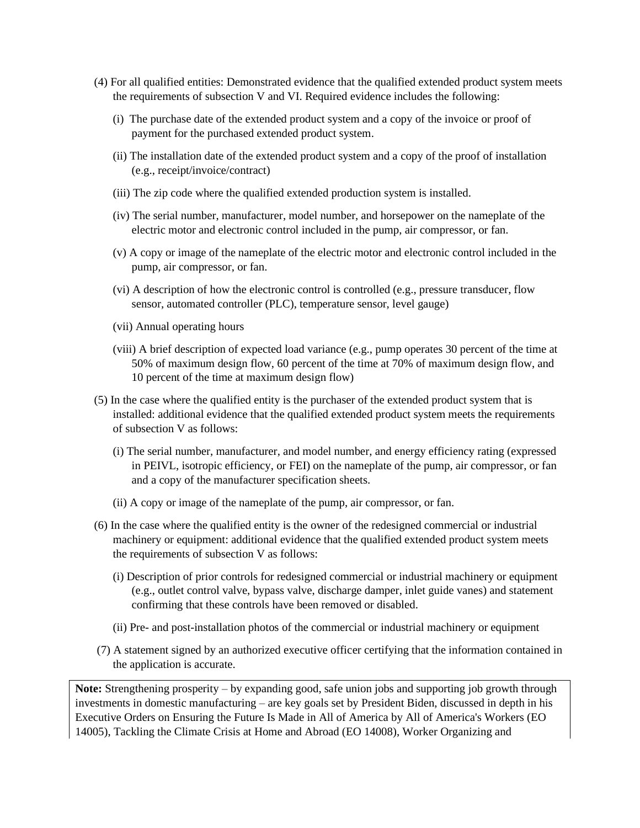- (4) For all qualified entities: Demonstrated evidence that the qualified extended product system meets the requirements of subsection V and VI. Required evidence includes the following:
	- (i) The purchase date of the extended product system and a copy of the invoice or proof of payment for the purchased extended product system.
	- (ii) The installation date of the extended product system and a copy of the proof of installation (e.g., receipt/invoice/contract)
	- (iii) The zip code where the qualified extended production system is installed.
	- (iv) The serial number, manufacturer, model number, and horsepower on the nameplate of the electric motor and electronic control included in the pump, air compressor, or fan.
	- (v) A copy or image of the nameplate of the electric motor and electronic control included in the pump, air compressor, or fan.
	- (vi) A description of how the electronic control is controlled (e.g., pressure transducer, flow sensor, automated controller (PLC), temperature sensor, level gauge)
	- (vii) Annual operating hours
	- (viii) A brief description of expected load variance (e.g., pump operates 30 percent of the time at 50% of maximum design flow, 60 percent of the time at 70% of maximum design flow, and 10 percent of the time at maximum design flow)
- (5) In the case where the qualified entity is the purchaser of the extended product system that is installed: additional evidence that the qualified extended product system meets the requirements of subsection V as follows:
	- (i) The serial number, manufacturer, and model number, and energy efficiency rating (expressed in PEIVL, isotropic efficiency, or FEI) on the nameplate of the pump, air compressor, or fan and a copy of the manufacturer specification sheets.
	- (ii) A copy or image of the nameplate of the pump, air compressor, or fan.
- (6) In the case where the qualified entity is the owner of the redesigned commercial or industrial machinery or equipment: additional evidence that the qualified extended product system meets the requirements of subsection V as follows:
	- (i) Description of prior controls for redesigned commercial or industrial machinery or equipment (e.g., outlet control valve, bypass valve, discharge damper, inlet guide vanes) and statement confirming that these controls have been removed or disabled.
	- (ii) Pre- and post-installation photos of the commercial or industrial machinery or equipment
- (7) A statement signed by an authorized executive officer certifying that the information contained in the application is accurate.

**Note:** Strengthening prosperity – by expanding good, safe union jobs and supporting job growth through investments in domestic manufacturing – are key goals set by President Biden, discussed in depth in his Executive Orders on Ensuring the Future Is Made in All of America by All of America's Workers (EO 14005), Tackling the Climate Crisis at Home and Abroad (EO 14008), Worker Organizing and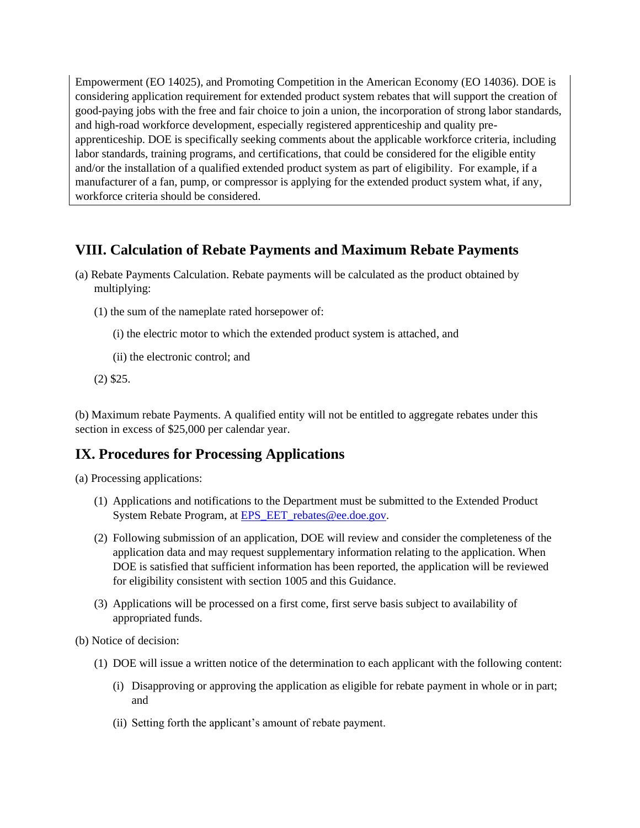Empowerment (EO 14025), and Promoting Competition in the American Economy (EO 14036). DOE is considering application requirement for extended product system rebates that will support the creation of good-paying jobs with the free and fair choice to join a union, the incorporation of strong labor standards, and high-road workforce development, especially registered apprenticeship and quality preapprenticeship. DOE is specifically seeking comments about the applicable workforce criteria, including labor standards, training programs, and certifications, that could be considered for the eligible entity and/or the installation of a qualified extended product system as part of eligibility. For example, if a manufacturer of a fan, pump, or compressor is applying for the extended product system what, if any, workforce criteria should be considered.

### **VIII. Calculation of Rebate Payments and Maximum Rebate Payments**

- (a) Rebate Payments Calculation. Rebate payments will be calculated as the product obtained by multiplying:
	- (1) the sum of the nameplate rated horsepower of:
		- (i) the electric motor to which the extended product system is attached, and
		- (ii) the electronic control; and
	- (2) \$25.

(b) Maximum rebate Payments. A qualified entity will not be entitled to aggregate rebates under this section in excess of \$25,000 per calendar year.

### **IX. Procedures for Processing Applications**

(a) Processing applications:

- (1) Applications and notifications to the Department must be submitted to the Extended Product System Rebate Program, at EPS EET rebates@ee.doe.gov.
- (2) Following submission of an application, DOE will review and consider the completeness of the application data and may request supplementary information relating to the application. When DOE is satisfied that sufficient information has been reported, the application will be reviewed for eligibility consistent with section 1005 and this Guidance.
- (3) Applications will be processed on a first come, first serve basis subject to availability of appropriated funds.

(b) Notice of decision:

- (1) DOE will issue a written notice of the determination to each applicant with the following content:
	- (i) Disapproving or approving the application as eligible for rebate payment in whole or in part; and
	- (ii) Setting forth the applicant's amount of rebate payment.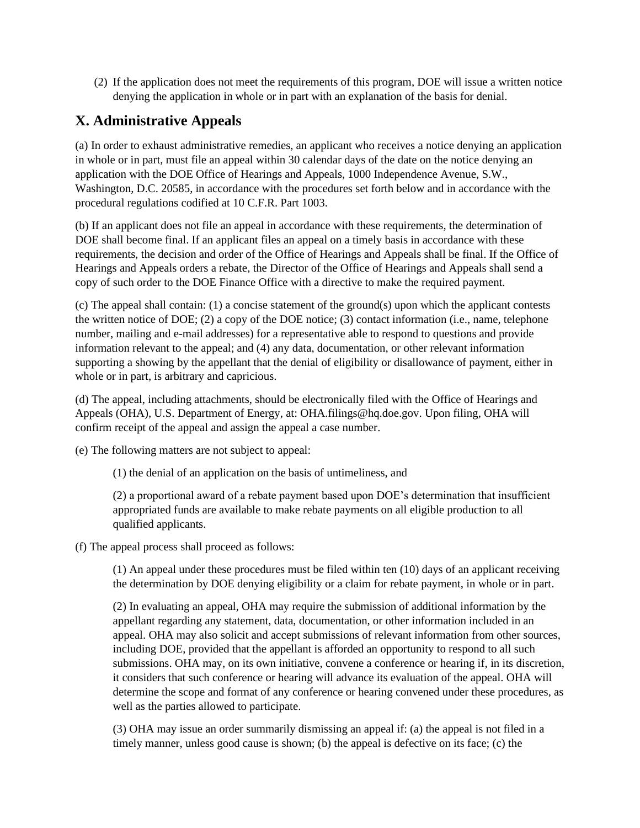(2) If the application does not meet the requirements of this program, DOE will issue a written notice denying the application in whole or in part with an explanation of the basis for denial.

### **X. Administrative Appeals**

(a) In order to exhaust administrative remedies, an applicant who receives a notice denying an application in whole or in part, must file an appeal within 30 calendar days of the date on the notice denying an application with the DOE Office of Hearings and Appeals, 1000 Independence Avenue, S.W., Washington, D.C. 20585, in accordance with the procedures set forth below and in accordance with the procedural regulations codified at 10 C.F.R. Part 1003.

(b) If an applicant does not file an appeal in accordance with these requirements, the determination of DOE shall become final. If an applicant files an appeal on a timely basis in accordance with these requirements, the decision and order of the Office of Hearings and Appeals shall be final. If the Office of Hearings and Appeals orders a rebate, the Director of the Office of Hearings and Appeals shall send a copy of such order to the DOE Finance Office with a directive to make the required payment.

(c) The appeal shall contain: (1) a concise statement of the ground(s) upon which the applicant contests the written notice of DOE; (2) a copy of the DOE notice; (3) contact information (i.e., name, telephone number, mailing and e-mail addresses) for a representative able to respond to questions and provide information relevant to the appeal; and (4) any data, documentation, or other relevant information supporting a showing by the appellant that the denial of eligibility or disallowance of payment, either in whole or in part, is arbitrary and capricious.

(d) The appeal, including attachments, should be electronically filed with the Office of Hearings and Appeals (OHA), U.S. Department of Energy, at: OHA.filings@hq.doe.gov. Upon filing, OHA will confirm receipt of the appeal and assign the appeal a case number.

(e) The following matters are not subject to appeal:

(1) the denial of an application on the basis of untimeliness, and

(2) a proportional award of a rebate payment based upon DOE's determination that insufficient appropriated funds are available to make rebate payments on all eligible production to all qualified applicants.

(f) The appeal process shall proceed as follows:

(1) An appeal under these procedures must be filed within ten (10) days of an applicant receiving the determination by DOE denying eligibility or a claim for rebate payment, in whole or in part.

(2) In evaluating an appeal, OHA may require the submission of additional information by the appellant regarding any statement, data, documentation, or other information included in an appeal. OHA may also solicit and accept submissions of relevant information from other sources, including DOE, provided that the appellant is afforded an opportunity to respond to all such submissions. OHA may, on its own initiative, convene a conference or hearing if, in its discretion, it considers that such conference or hearing will advance its evaluation of the appeal. OHA will determine the scope and format of any conference or hearing convened under these procedures, as well as the parties allowed to participate.

(3) OHA may issue an order summarily dismissing an appeal if: (a) the appeal is not filed in a timely manner, unless good cause is shown; (b) the appeal is defective on its face; (c) the